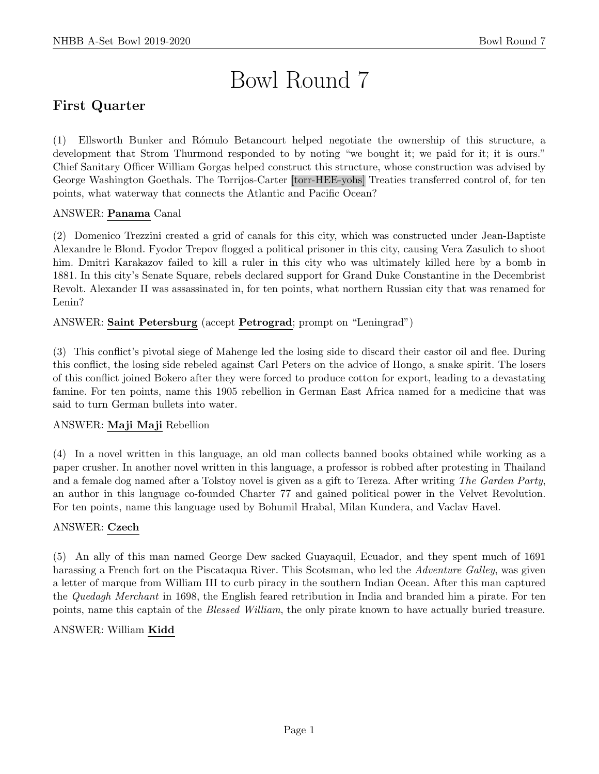# Bowl Round 7

# First Quarter

(1) Ellsworth Bunker and R´omulo Betancourt helped negotiate the ownership of this structure, a development that Strom Thurmond responded to by noting "we bought it; we paid for it; it is ours." Chief Sanitary Officer William Gorgas helped construct this structure, whose construction was advised by George Washington Goethals. The Torrijos-Carter [torr-HEE-yohs] Treaties transferred control of, for ten points, what waterway that connects the Atlantic and Pacific Ocean?

### ANSWER: Panama Canal

(2) Domenico Trezzini created a grid of canals for this city, which was constructed under Jean-Baptiste Alexandre le Blond. Fyodor Trepov flogged a political prisoner in this city, causing Vera Zasulich to shoot him. Dmitri Karakazov failed to kill a ruler in this city who was ultimately killed here by a bomb in 1881. In this city's Senate Square, rebels declared support for Grand Duke Constantine in the Decembrist Revolt. Alexander II was assassinated in, for ten points, what northern Russian city that was renamed for Lenin?

### ANSWER: Saint Petersburg (accept Petrograd; prompt on "Leningrad")

(3) This conflict's pivotal siege of Mahenge led the losing side to discard their castor oil and flee. During this conflict, the losing side rebeled against Carl Peters on the advice of Hongo, a snake spirit. The losers of this conflict joined Bokero after they were forced to produce cotton for export, leading to a devastating famine. For ten points, name this 1905 rebellion in German East Africa named for a medicine that was said to turn German bullets into water.

### ANSWER: Maji Maji Rebellion

(4) In a novel written in this language, an old man collects banned books obtained while working as a paper crusher. In another novel written in this language, a professor is robbed after protesting in Thailand and a female dog named after a Tolstoy novel is given as a gift to Tereza. After writing The Garden Party, an author in this language co-founded Charter 77 and gained political power in the Velvet Revolution. For ten points, name this language used by Bohumil Hrabal, Milan Kundera, and Vaclav Havel.

### ANSWER: Czech

(5) An ally of this man named George Dew sacked Guayaquil, Ecuador, and they spent much of 1691 harassing a French fort on the Piscataqua River. This Scotsman, who led the Adventure Galley, was given a letter of marque from William III to curb piracy in the southern Indian Ocean. After this man captured the Quedagh Merchant in 1698, the English feared retribution in India and branded him a pirate. For ten points, name this captain of the Blessed William, the only pirate known to have actually buried treasure.

### ANSWER: William Kidd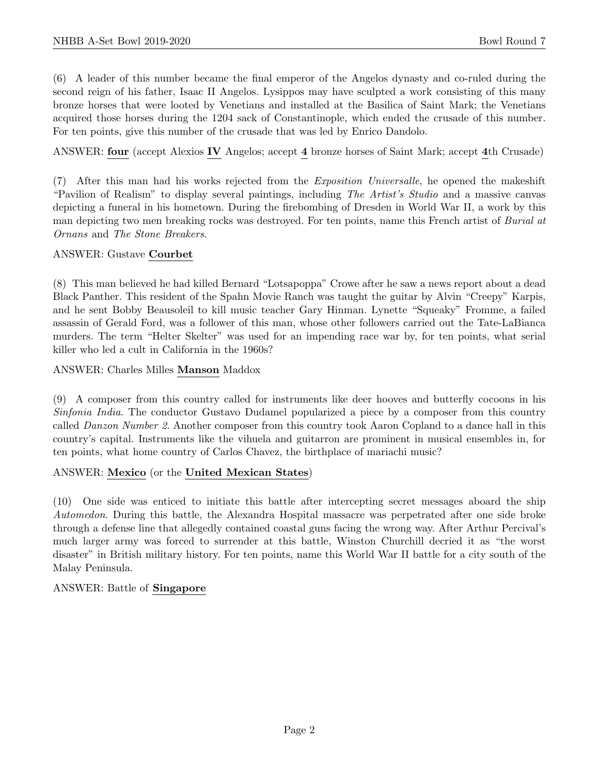(6) A leader of this number became the final emperor of the Angelos dynasty and co-ruled during the second reign of his father, Isaac II Angelos. Lysippos may have sculpted a work consisting of this many bronze horses that were looted by Venetians and installed at the Basilica of Saint Mark; the Venetians acquired those horses during the 1204 sack of Constantinople, which ended the crusade of this number. For ten points, give this number of the crusade that was led by Enrico Dandolo.

ANSWER: four (accept Alexios IV Angelos; accept 4 bronze horses of Saint Mark; accept 4th Crusade)

(7) After this man had his works rejected from the Exposition Universalle, he opened the makeshift "Pavilion of Realism" to display several paintings, including The Artist's Studio and a massive canvas depicting a funeral in his hometown. During the firebombing of Dresden in World War II, a work by this man depicting two men breaking rocks was destroyed. For ten points, name this French artist of Burial at Ornans and The Stone Breakers.

### ANSWER: Gustave Courbet

(8) This man believed he had killed Bernard "Lotsapoppa" Crowe after he saw a news report about a dead Black Panther. This resident of the Spahn Movie Ranch was taught the guitar by Alvin "Creepy" Karpis, and he sent Bobby Beausoleil to kill music teacher Gary Hinman. Lynette "Squeaky" Fromme, a failed assassin of Gerald Ford, was a follower of this man, whose other followers carried out the Tate-LaBianca murders. The term "Helter Skelter" was used for an impending race war by, for ten points, what serial killer who led a cult in California in the 1960s?

ANSWER: Charles Milles Manson Maddox

(9) A composer from this country called for instruments like deer hooves and butterfly cocoons in his Sinfonia India. The conductor Gustavo Dudamel popularized a piece by a composer from this country called Danzon Number 2. Another composer from this country took Aaron Copland to a dance hall in this country's capital. Instruments like the vihuela and guitarron are prominent in musical ensembles in, for ten points, what home country of Carlos Chavez, the birthplace of mariachi music?

### ANSWER: Mexico (or the United Mexican States)

(10) One side was enticed to initiate this battle after intercepting secret messages aboard the ship Automedon. During this battle, the Alexandra Hospital massacre was perpetrated after one side broke through a defense line that allegedly contained coastal guns facing the wrong way. After Arthur Percival's much larger army was forced to surrender at this battle, Winston Churchill decried it as "the worst disaster" in British military history. For ten points, name this World War II battle for a city south of the Malay Peninsula.

### ANSWER: Battle of Singapore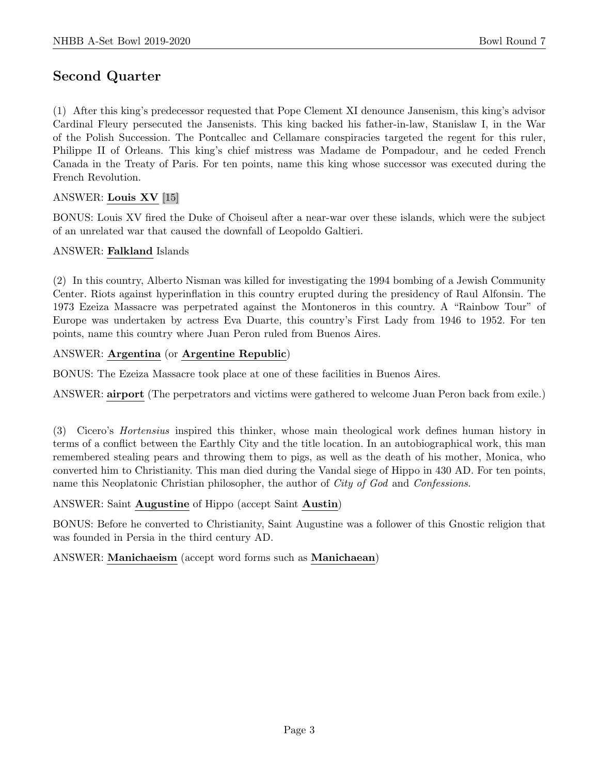# Second Quarter

(1) After this king's predecessor requested that Pope Clement XI denounce Jansenism, this king's advisor Cardinal Fleury persecuted the Jansenists. This king backed his father-in-law, Stanislaw I, in the War of the Polish Succession. The Pontcallec and Cellamare conspiracies targeted the regent for this ruler, Philippe II of Orleans. This king's chief mistress was Madame de Pompadour, and he ceded French Canada in the Treaty of Paris. For ten points, name this king whose successor was executed during the French Revolution.

### ANSWER: Louis XV [15]

BONUS: Louis XV fired the Duke of Choiseul after a near-war over these islands, which were the subject of an unrelated war that caused the downfall of Leopoldo Galtieri.

### ANSWER: Falkland Islands

(2) In this country, Alberto Nisman was killed for investigating the 1994 bombing of a Jewish Community Center. Riots against hyperinflation in this country erupted during the presidency of Raul Alfonsin. The 1973 Ezeiza Massacre was perpetrated against the Montoneros in this country. A "Rainbow Tour" of Europe was undertaken by actress Eva Duarte, this country's First Lady from 1946 to 1952. For ten points, name this country where Juan Peron ruled from Buenos Aires.

### ANSWER: Argentina (or Argentine Republic)

BONUS: The Ezeiza Massacre took place at one of these facilities in Buenos Aires.

ANSWER: airport (The perpetrators and victims were gathered to welcome Juan Peron back from exile.)

(3) Cicero's Hortensius inspired this thinker, whose main theological work defines human history in terms of a conflict between the Earthly City and the title location. In an autobiographical work, this man remembered stealing pears and throwing them to pigs, as well as the death of his mother, Monica, who converted him to Christianity. This man died during the Vandal siege of Hippo in 430 AD. For ten points, name this Neoplatonic Christian philosopher, the author of City of God and Confessions.

ANSWER: Saint Augustine of Hippo (accept Saint Austin)

BONUS: Before he converted to Christianity, Saint Augustine was a follower of this Gnostic religion that was founded in Persia in the third century AD.

### ANSWER: Manichaeism (accept word forms such as Manichaean)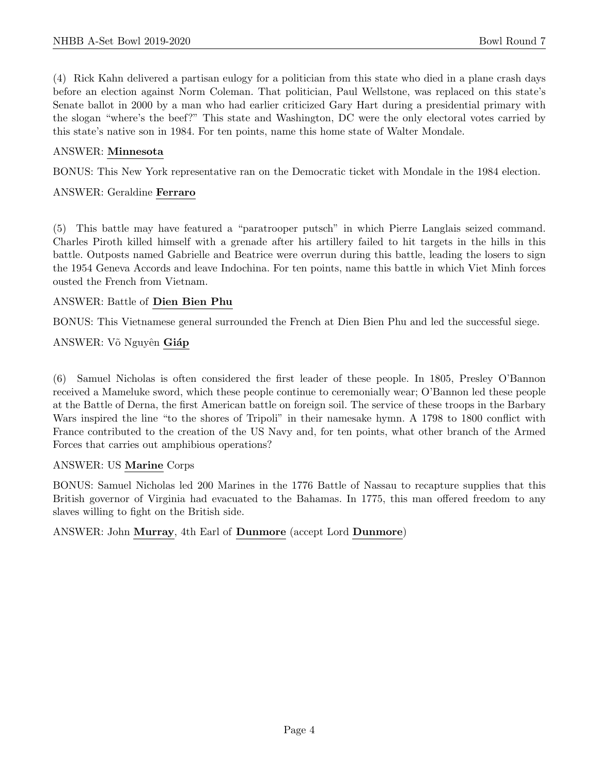(4) Rick Kahn delivered a partisan eulogy for a politician from this state who died in a plane crash days before an election against Norm Coleman. That politician, Paul Wellstone, was replaced on this state's Senate ballot in 2000 by a man who had earlier criticized Gary Hart during a presidential primary with the slogan "where's the beef?" This state and Washington, DC were the only electoral votes carried by this state's native son in 1984. For ten points, name this home state of Walter Mondale.

### ANSWER: Minnesota

BONUS: This New York representative ran on the Democratic ticket with Mondale in the 1984 election.

### ANSWER: Geraldine Ferraro

(5) This battle may have featured a "paratrooper putsch" in which Pierre Langlais seized command. Charles Piroth killed himself with a grenade after his artillery failed to hit targets in the hills in this battle. Outposts named Gabrielle and Beatrice were overrun during this battle, leading the losers to sign the 1954 Geneva Accords and leave Indochina. For ten points, name this battle in which Viet Minh forces ousted the French from Vietnam.

### ANSWER: Battle of Dien Bien Phu

BONUS: This Vietnamese general surrounded the French at Dien Bien Phu and led the successful siege.

ANSWER: Võ Nguyên Giáp

(6) Samuel Nicholas is often considered the first leader of these people. In 1805, Presley O'Bannon received a Mameluke sword, which these people continue to ceremonially wear; O'Bannon led these people at the Battle of Derna, the first American battle on foreign soil. The service of these troops in the Barbary Wars inspired the line "to the shores of Tripoli" in their namesake hymn. A 1798 to 1800 conflict with France contributed to the creation of the US Navy and, for ten points, what other branch of the Armed Forces that carries out amphibious operations?

### ANSWER: US Marine Corps

BONUS: Samuel Nicholas led 200 Marines in the 1776 Battle of Nassau to recapture supplies that this British governor of Virginia had evacuated to the Bahamas. In 1775, this man offered freedom to any slaves willing to fight on the British side.

ANSWER: John Murray, 4th Earl of Dunmore (accept Lord Dunmore)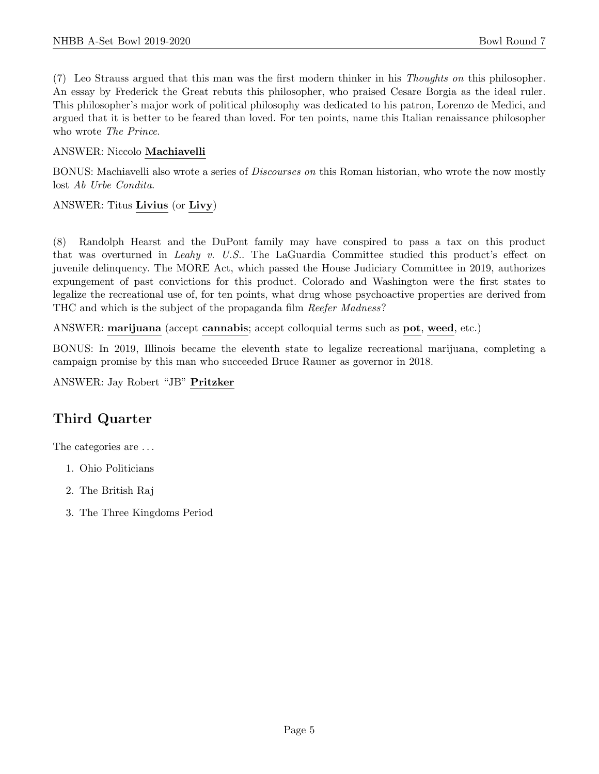(7) Leo Strauss argued that this man was the first modern thinker in his Thoughts on this philosopher. An essay by Frederick the Great rebuts this philosopher, who praised Cesare Borgia as the ideal ruler. This philosopher's major work of political philosophy was dedicated to his patron, Lorenzo de Medici, and argued that it is better to be feared than loved. For ten points, name this Italian renaissance philosopher who wrote The Prince.

### ANSWER: Niccolo Machiavelli

BONUS: Machiavelli also wrote a series of *Discourses on* this Roman historian, who wrote the now mostly lost Ab Urbe Condita.

### ANSWER: Titus Livius (or Livy)

(8) Randolph Hearst and the DuPont family may have conspired to pass a tax on this product that was overturned in Leahy v. U.S.. The LaGuardia Committee studied this product's effect on juvenile delinquency. The MORE Act, which passed the House Judiciary Committee in 2019, authorizes expungement of past convictions for this product. Colorado and Washington were the first states to legalize the recreational use of, for ten points, what drug whose psychoactive properties are derived from THC and which is the subject of the propaganda film Reefer Madness?

ANSWER: marijuana (accept cannabis; accept colloquial terms such as pot, weed, etc.)

BONUS: In 2019, Illinois became the eleventh state to legalize recreational marijuana, completing a campaign promise by this man who succeeded Bruce Rauner as governor in 2018.

ANSWER: Jay Robert "JB" Pritzker

### Third Quarter

The categories are . . .

- 1. Ohio Politicians
- 2. The British Raj
- 3. The Three Kingdoms Period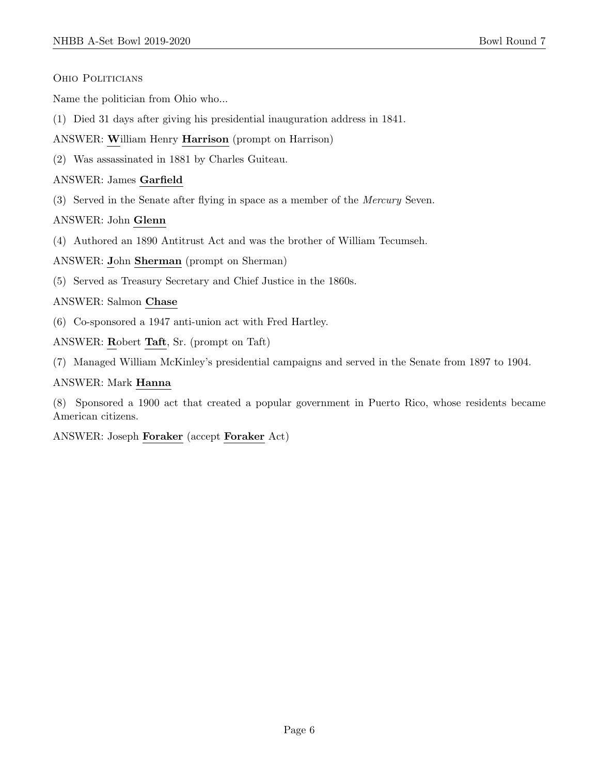Ohio Politicians

Name the politician from Ohio who...

(1) Died 31 days after giving his presidential inauguration address in 1841.

ANSWER: William Henry Harrison (prompt on Harrison)

(2) Was assassinated in 1881 by Charles Guiteau.

ANSWER: James Garfield

(3) Served in the Senate after flying in space as a member of the Mercury Seven.

ANSWER: John Glenn

(4) Authored an 1890 Antitrust Act and was the brother of William Tecumseh.

ANSWER: John Sherman (prompt on Sherman)

(5) Served as Treasury Secretary and Chief Justice in the 1860s.

ANSWER: Salmon Chase

(6) Co-sponsored a 1947 anti-union act with Fred Hartley.

ANSWER: Robert Taft, Sr. (prompt on Taft)

(7) Managed William McKinley's presidential campaigns and served in the Senate from 1897 to 1904.

### ANSWER: Mark Hanna

(8) Sponsored a 1900 act that created a popular government in Puerto Rico, whose residents became American citizens.

ANSWER: Joseph Foraker (accept Foraker Act)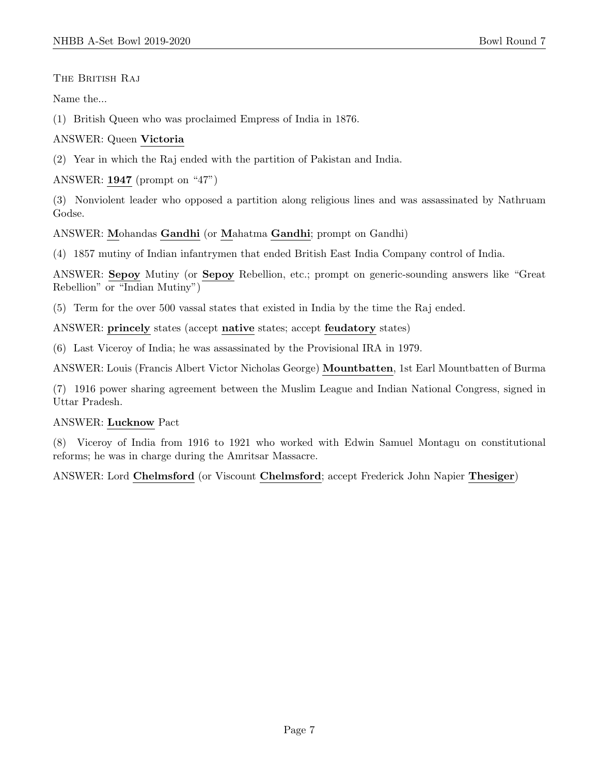THE BRITISH RAJ

Name the...

(1) British Queen who was proclaimed Empress of India in 1876.

### ANSWER: Queen Victoria

(2) Year in which the Raj ended with the partition of Pakistan and India.

### ANSWER: 1947 (prompt on "47")

(3) Nonviolent leader who opposed a partition along religious lines and was assassinated by Nathruam Godse.

### ANSWER: Mohandas Gandhi (or Mahatma Gandhi; prompt on Gandhi)

(4) 1857 mutiny of Indian infantrymen that ended British East India Company control of India.

ANSWER: Sepoy Mutiny (or Sepoy Rebellion, etc.; prompt on generic-sounding answers like "Great Rebellion" or "Indian Mutiny")

(5) Term for the over 500 vassal states that existed in India by the time the Raj ended.

ANSWER: princely states (accept native states; accept feudatory states)

(6) Last Viceroy of India; he was assassinated by the Provisional IRA in 1979.

ANSWER: Louis (Francis Albert Victor Nicholas George) Mountbatten, 1st Earl Mountbatten of Burma

(7) 1916 power sharing agreement between the Muslim League and Indian National Congress, signed in Uttar Pradesh.

### ANSWER: Lucknow Pact

(8) Viceroy of India from 1916 to 1921 who worked with Edwin Samuel Montagu on constitutional reforms; he was in charge during the Amritsar Massacre.

ANSWER: Lord Chelmsford (or Viscount Chelmsford; accept Frederick John Napier Thesiger)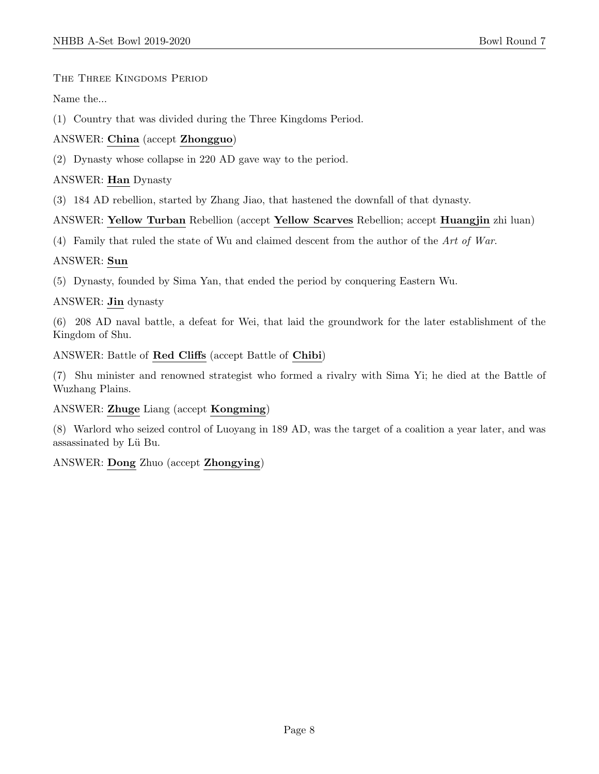### The Three Kingdoms Period

Name the...

(1) Country that was divided during the Three Kingdoms Period.

### ANSWER: China (accept Zhongguo)

(2) Dynasty whose collapse in 220 AD gave way to the period.

### ANSWER: Han Dynasty

(3) 184 AD rebellion, started by Zhang Jiao, that hastened the downfall of that dynasty.

### ANSWER: Yellow Turban Rebellion (accept Yellow Scarves Rebellion; accept Huangjin zhi luan)

(4) Family that ruled the state of Wu and claimed descent from the author of the Art of War.

### ANSWER: Sun

(5) Dynasty, founded by Sima Yan, that ended the period by conquering Eastern Wu.

### ANSWER: Jin dynasty

(6) 208 AD naval battle, a defeat for Wei, that laid the groundwork for the later establishment of the Kingdom of Shu.

ANSWER: Battle of Red Cliffs (accept Battle of Chibi)

(7) Shu minister and renowned strategist who formed a rivalry with Sima Yi; he died at the Battle of Wuzhang Plains.

### ANSWER: Zhuge Liang (accept Kongming)

(8) Warlord who seized control of Luoyang in 189 AD, was the target of a coalition a year later, and was assassinated by Lü Bu.

### ANSWER: Dong Zhuo (accept Zhongying)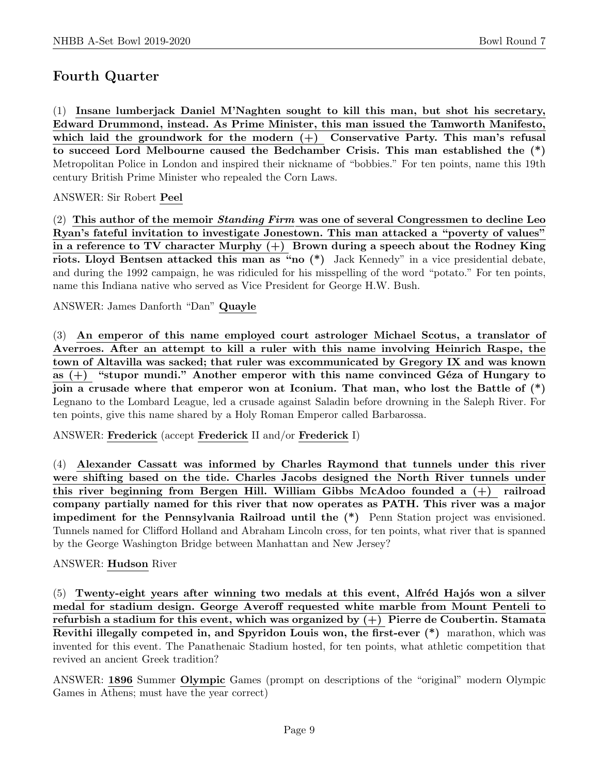# Fourth Quarter

(1) Insane lumberjack Daniel M'Naghten sought to kill this man, but shot his secretary, Edward Drummond, instead. As Prime Minister, this man issued the Tamworth Manifesto, which laid the groundwork for the modern  $(+)$  Conservative Party. This man's refusal to succeed Lord Melbourne caused the Bedchamber Crisis. This man established the (\*) Metropolitan Police in London and inspired their nickname of "bobbies." For ten points, name this 19th century British Prime Minister who repealed the Corn Laws.

ANSWER: Sir Robert Peel

(2) This author of the memoir *Standing Firm* was one of several Congressmen to decline Leo Ryan's fateful invitation to investigate Jonestown. This man attacked a "poverty of values" in a reference to TV character Murphy  $(+)$  Brown during a speech about the Rodney King riots. Lloyd Bentsen attacked this man as "no (\*) Jack Kennedy" in a vice presidential debate, and during the 1992 campaign, he was ridiculed for his misspelling of the word "potato." For ten points, name this Indiana native who served as Vice President for George H.W. Bush.

ANSWER: James Danforth "Dan" Quayle

(3) An emperor of this name employed court astrologer Michael Scotus, a translator of Averroes. After an attempt to kill a ruler with this name involving Heinrich Raspe, the town of Altavilla was sacked; that ruler was excommunicated by Gregory IX and was known as  $(+)$  "stupor mundi." Another emperor with this name convinced Géza of Hungary to join a crusade where that emperor won at Iconium. That man, who lost the Battle of (\*) Legnano to the Lombard League, led a crusade against Saladin before drowning in the Saleph River. For ten points, give this name shared by a Holy Roman Emperor called Barbarossa.

ANSWER: Frederick (accept Frederick II and/or Frederick I)

(4) Alexander Cassatt was informed by Charles Raymond that tunnels under this river were shifting based on the tide. Charles Jacobs designed the North River tunnels under this river beginning from Bergen Hill. William Gibbs McAdoo founded a (+) railroad company partially named for this river that now operates as PATH. This river was a major impediment for the Pennsylvania Railroad until the (\*) Penn Station project was envisioned. Tunnels named for Clifford Holland and Abraham Lincoln cross, for ten points, what river that is spanned by the George Washington Bridge between Manhattan and New Jersey?

### ANSWER: Hudson River

 $(5)$  Twenty-eight years after winning two medals at this event, Alfréd Hajós won a silver medal for stadium design. George Averoff requested white marble from Mount Penteli to refurbish a stadium for this event, which was organized by  $(+)$  Pierre de Coubertin. Stamata Revithi illegally competed in, and Spyridon Louis won, the first-ever (\*) marathon, which was invented for this event. The Panathenaic Stadium hosted, for ten points, what athletic competition that revived an ancient Greek tradition?

ANSWER: 1896 Summer Olympic Games (prompt on descriptions of the "original" modern Olympic Games in Athens; must have the year correct)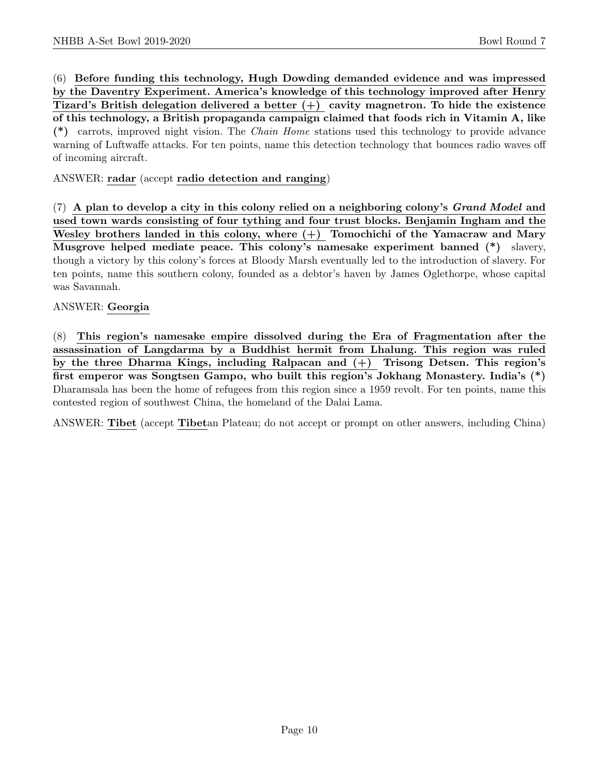(6) Before funding this technology, Hugh Dowding demanded evidence and was impressed by the Daventry Experiment. America's knowledge of this technology improved after Henry Tizard's British delegation delivered a better  $(+)$  cavity magnetron. To hide the existence of this technology, a British propaganda campaign claimed that foods rich in Vitamin A, like (\*) carrots, improved night vision. The Chain Home stations used this technology to provide advance warning of Luftwaffe attacks. For ten points, name this detection technology that bounces radio waves off of incoming aircraft.

ANSWER: radar (accept radio detection and ranging)

 $(7)$  A plan to develop a city in this colony relied on a neighboring colony's *Grand Model* and used town wards consisting of four tything and four trust blocks. Benjamin Ingham and the Wesley brothers landed in this colony, where  $(+)$  Tomochichi of the Yamacraw and Mary Musgrove helped mediate peace. This colony's namesake experiment banned (\*) slavery, though a victory by this colony's forces at Bloody Marsh eventually led to the introduction of slavery. For ten points, name this southern colony, founded as a debtor's haven by James Oglethorpe, whose capital was Savannah.

### ANSWER: Georgia

(8) This region's namesake empire dissolved during the Era of Fragmentation after the assassination of Langdarma by a Buddhist hermit from Lhalung. This region was ruled by the three Dharma Kings, including Ralpacan and (+) Trisong Detsen. This region's first emperor was Songtsen Gampo, who built this region's Jokhang Monastery. India's (\*) Dharamsala has been the home of refugees from this region since a 1959 revolt. For ten points, name this contested region of southwest China, the homeland of the Dalai Lama.

ANSWER: Tibet (accept Tibetan Plateau; do not accept or prompt on other answers, including China)